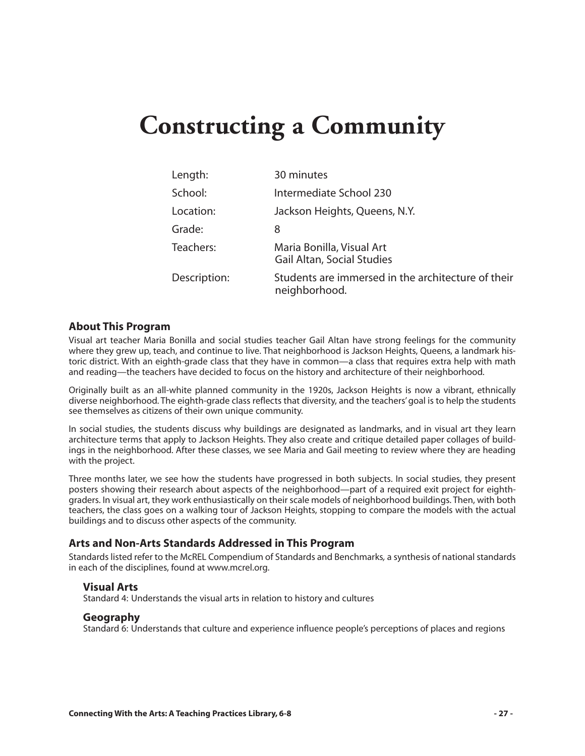# **Constructing a Community**

| Length:      | 30 minutes                                                          |
|--------------|---------------------------------------------------------------------|
| School:      | Intermediate School 230                                             |
| Location:    | Jackson Heights, Queens, N.Y.                                       |
| Grade:       | 8                                                                   |
| Teachers:    | Maria Bonilla, Visual Art<br><b>Gail Altan, Social Studies</b>      |
| Description: | Students are immersed in the architecture of their<br>neighborhood. |

#### **About This Program**

Visual art teacher Maria Bonilla and social studies teacher Gail Altan have strong feelings for the community where they grew up, teach, and continue to live. That neighborhood is Jackson Heights, Queens, a landmark historic district. With an eighth-grade class that they have in common—a class that requires extra help with math and reading—the teachers have decided to focus on the history and architecture of their neighborhood.

Originally built as an all-white planned community in the 1920s, Jackson Heights is now a vibrant, ethnically diverse neighborhood. The eighth-grade class reflects that diversity, and the teachers' goal is to help the students see themselves as citizens of their own unique community.

In social studies, the students discuss why buildings are designated as landmarks, and in visual art they learn architecture terms that apply to Jackson Heights. They also create and critique detailed paper collages of buildings in the neighborhood. After these classes, we see Maria and Gail meeting to review where they are heading with the project.

Three months later, we see how the students have progressed in both subjects. In social studies, they present posters showing their research about aspects of the neighborhood—part of a required exit project for eighthgraders. In visual art, they work enthusiastically on their scale models of neighborhood buildings. Then, with both teachers, the class goes on a walking tour of Jackson Heights, stopping to compare the models with the actual buildings and to discuss other aspects of the community.

#### **Arts and Non-Arts Standards Addressed in This Program**

Standards listed refer to the McREL Compendium of Standards and Benchmarks*,* a synthesis of national standards in each of the disciplines, found at www.mcrel.org.

#### **Visual Arts**

Standard 4: Understands the visual arts in relation to history and cultures

#### **Geography**

Standard 6: Understands that culture and experience influence people's perceptions of places and regions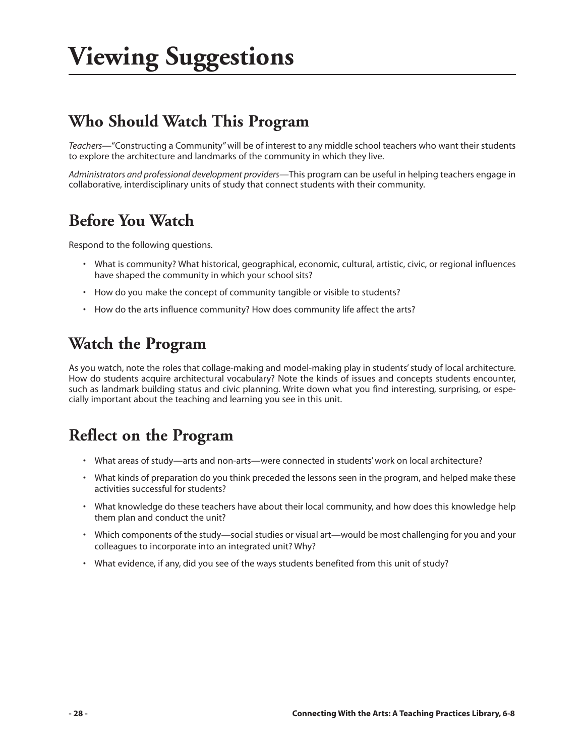## **Who Should Watch This Program**

*Teachers*—"Constructing a Community" will be of interest to any middle school teachers who want their students to explore the architecture and landmarks of the community in which they live.

*Administrators and professional development providers*—This program can be useful in helping teachers engage in collaborative, interdisciplinary units of study that connect students with their community.

### **Before You Watch**

Respond to the following questions.

- What is community? What historical, geographical, economic, cultural, artistic, civic, or regional influences have shaped the community in which your school sits?
- How do you make the concept of community tangible or visible to students?
- How do the arts influence community? How does community life affect the arts?

### **Watch the Program**

As you watch, note the roles that collage-making and model-making play in students' study of local architecture. How do students acquire architectural vocabulary? Note the kinds of issues and concepts students encounter, such as landmark building status and civic planning. Write down what you find interesting, surprising, or especially important about the teaching and learning you see in this unit.

### **Reflect on the Program**

- What areas of study—arts and non-arts—were connected in students' work on local architecture?
- What kinds of preparation do you think preceded the lessons seen in the program, and helped make these activities successful for students?
- What knowledge do these teachers have about their local community, and how does this knowledge help them plan and conduct the unit?
- Which components of the study—social studies or visual art—would be most challenging for you and your colleagues to incorporate into an integrated unit? Why?
- What evidence, if any, did you see of the ways students benefited from this unit of study?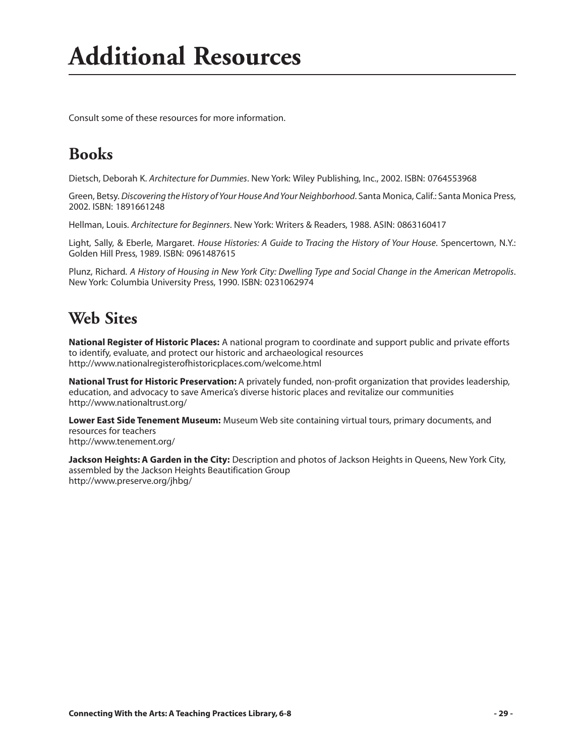Consult some of these resources for more information.

## **Books**

Dietsch, Deborah K. *Architecture for Dummies*. New York: Wiley Publishing, Inc., 2002. ISBN: 0764553968

Green, Betsy. *Discovering the History of Your House And Your Neighborhood*. Santa Monica, Calif.: Santa Monica Press, 2002. ISBN: 1891661248

Hellman, Louis. *Architecture for Beginners*. New York: Writers & Readers, 1988. ASIN: 0863160417

Light, Sally, & Eberle, Margaret. *House Histories: A Guide to Tracing the History of Your House*. Spencertown, N.Y.: Golden Hill Press, 1989. ISBN: 0961487615

Plunz, Richard. *A History of Housing in New York City: Dwelling Type and Social Change in the American Metropolis*. New York: Columbia University Press, 1990. ISBN: 0231062974

### **Web Sites**

**National Register of Historic Places:** A national program to coordinate and support public and private efforts to identify, evaluate, and protect our historic and archaeological resources http://www.nationalregisterofhistoricplaces.com/welcome.html

**National Trust for Historic Preservation:** A privately funded, non-profit organization that provides leadership, education, and advocacy to save America's diverse historic places and revitalize our communities http://www.nationaltrust.org/

**Lower East Side Tenement Museum:** Museum Web site containing virtual tours, primary documents, and resources for teachers http://www.tenement.org/

**Jackson Heights: A Garden in the City:** Description and photos of Jackson Heights in Queens, New York City, assembled by the Jackson Heights Beautification Group http://www.preserve.org/jhbg/